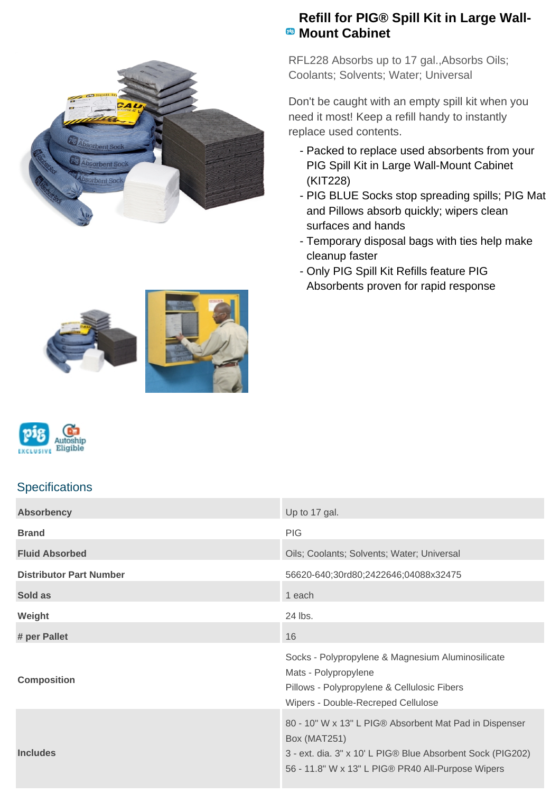

## **Refill for PIG® Spill Kit in Large Wall-Mount Cabinet**

RFL228 Absorbs up to 17 gal.,Absorbs Oils; Coolants; Solvents; Water; Universal

Don't be caught with an empty spill kit when you need it most! Keep a refill handy to instantly replace used contents.

- Packed to replace used absorbents from your PIG Spill Kit in Large Wall-Mount Cabinet (KIT228)
- PIG BLUE Socks stop spreading spills; PIG Mat and Pillows absorb quickly; wipers clean surfaces and hands
- Temporary disposal bags with ties help make cleanup faster
- Only PIG Spill Kit Refills feature PIG Absorbents proven for rapid response







## **Specifications**

| <b>Absorbency</b>              | Up to 17 gal.                                                                                                                                                                                    |
|--------------------------------|--------------------------------------------------------------------------------------------------------------------------------------------------------------------------------------------------|
| <b>Brand</b>                   | <b>PIG</b>                                                                                                                                                                                       |
| <b>Fluid Absorbed</b>          | Oils; Coolants; Solvents; Water; Universal                                                                                                                                                       |
| <b>Distributor Part Number</b> | 56620-640;30rd80;2422646;04088x32475                                                                                                                                                             |
| Sold as                        | 1 each                                                                                                                                                                                           |
| Weight                         | 24 lbs.                                                                                                                                                                                          |
| # per Pallet                   | 16                                                                                                                                                                                               |
| <b>Composition</b>             | Socks - Polypropylene & Magnesium Aluminosilicate<br>Mats - Polypropylene<br>Pillows - Polypropylene & Cellulosic Fibers<br>Wipers - Double-Recreped Cellulose                                   |
| <b>Includes</b>                | 80 - 10" W x 13" L PIG® Absorbent Mat Pad in Dispenser<br><b>Box (MAT251)</b><br>3 - ext. dia. 3" x 10' L PIG® Blue Absorbent Sock (PIG202)<br>56 - 11.8" W x 13" L PIG® PR40 All-Purpose Wipers |